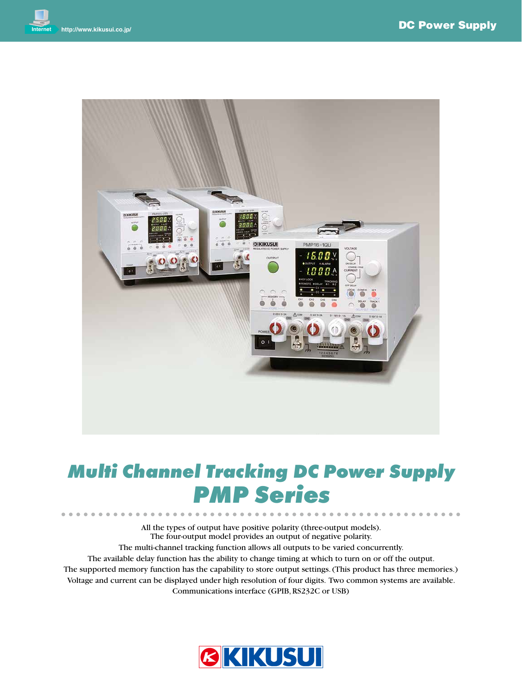

# *Multi Channel Tracking DC Power Supply PMP Series*

All the types of output have positive polarity (three-output models). The four-output model provides an output of negative polarity. The multi-channel tracking function allows all outputs to be varied concurrently. The available delay function has the ability to change timing at which to turn on or off the output. The supported memory function has the capability to store output settings. (This product has three memories.) Voltage and current can be displayed under high resolution of four digits. Two common systems are available. Communications interface (GPIB, RS232C or USB)

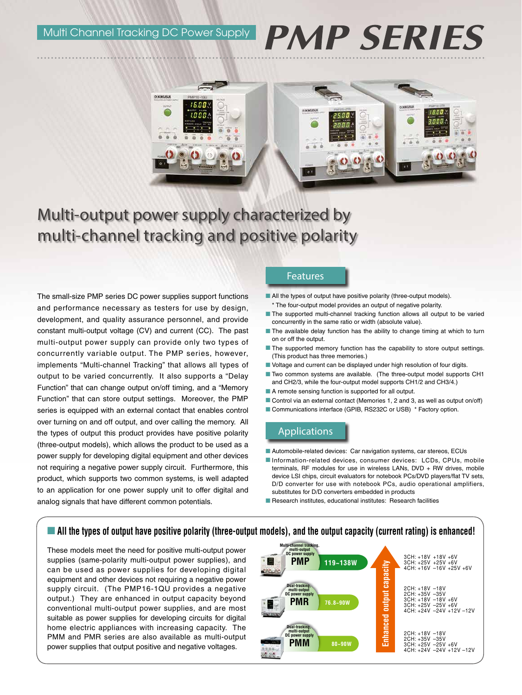# **PMP SERIES**



# Multi-output power supply characterized by multi-channel tracking and positive polarity

The small-size PMP series DC power supplies support functions and performance necessary as testers for use by design, development, and quality assurance personnel, and provide constant multi-output voltage (CV) and current (CC). The past multi-output power supply can provide only two types of concurrently variable output. The PMP series, however, implements "Multi-channel Tracking" that allows all types of output to be varied concurrently. It also supports a "Delay Function" that can change output on/off timing, and a "Memory Function" that can store output settings. Moreover, the PMP series is equipped with an external contact that enables control over turning on and off output, and over calling the memory. All the types of output this product provides have positive polarity (three-output models), which allows the product to be used as a power supply for developing digital equipment and other devices not requiring a negative power supply circuit. Furthermore, this product, which supports two common systems, is well adapted to an application for one power supply unit to offer digital and analog signals that have different common potentials.

### Features

- All the types of output have positive polarity (three-output models). \* The four-output model provides an output of negative polarity.
- The supported multi-channel tracking function allows all output to be varied concurrently in the same ratio or width (absolute value).
- The available delay function has the ability to change timing at which to turn on or off the output.
- $\blacksquare$  The supported memory function has the capability to store output settings. (This product has three memories.)
- $\blacksquare$  Voltage and current can be displayed under high resolution of four digits.
- Two common systems are available. (The three-output model supports CH1 and CH2/3, while the four-output model supports CH1/2 and CH3/4.)
- $\blacksquare$  A remote sensing function is supported for all output.
- Control via an external contact (Memories 1, 2 and 3, as well as output on/off)
- Communications interface (GPIB, RS232C or USB) \* Factory option.

# Applications

- Automobile-related devices: Car navigation systems, car stereos, ECUs
- Information-related devices, consumer devices: LCDs, CPUs, mobile terminals, RF modules for use in wireless LANs, DVD + RW drives, mobile device LSI chips, circuit evaluators for notebook PCs/DVD players/flat TV sets, D/D converter for use with notebook PCs, audio operational amplifiers, substitutes for D/D converters embedded in products
- Research institutes, educational institutes: Research facilities

# n **All the types of output have positive polarity (three-output models), and the output capacity (current rating) is enhanced!**

These models meet the need for positive multi-output power supplies (same-polarity multi-output power supplies), and can be used as power supplies for developing digital equipment and other devices not requiring a negative power supply circuit. (The PMP16-1QU provides a negative output.) They are enhanced in output capacity beyond conventional multi-output power supplies, and are most suitable as power supplies for developing circuits for digital home electric appliances with increasing capacity. The PMM and PMR series are also available as multi-output power supplies that output positive and negative voltages.

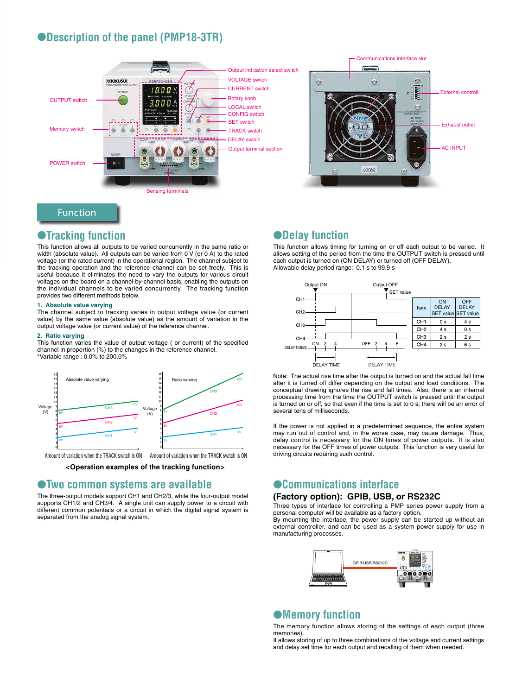# l**Description of the panel (PMP18-3TR)**





# Function

# l**Tracking function**

This function allows all outputs to be varied concurrently in the same ratio or width (absolute value). All outputs can be varied from 0 V (or 0 A) to the rated voltage (or the rated current) in the operational region. The channel subject to the tracking operation and the reference channel can be set freely. This is useful because it eliminates the need to vary the outputs for various circuit voltages on the board on a channel-by-channel basis, enabling the outputs on the individual channels to be varied concurrently. The tracking function provides two different methods below.

#### **1. Absolute value varying**

The channel subject to tracking varies in output voltage value (or current value) by the same value (absolute value) as the amount of variation in the output voltage value (or current value) of the reference channel.

#### **2. Ratio varying**

This function varies the value of output voltage ( or current) of the specified channel in proportion (%) to the changes in the reference channel. \*Variable range : 0.0% to 200.0%



**<Operation examples of the tracking function>**

# l**Two common systems are available**

The three-output models support CH1 and CH2/3, while the four-output model supports CH1/2 and CH3/4. A single unit can supply power to a circuit with different common potentials or a circuit in which the digital signal system is separated from the analog signal system.

# $\bullet$ **Delay function**

This function allows timing for turning on or off each output to be varied. It allows setting of the period from the time the OUTPUT switch is pressed until each output is turned on (ON DELAY) or turned off (OFF DELAY). Allowable delay period range: 0.1 s to 99.9 s



Note: The actual rise time after the output is turned on and the actual fall time after it is turned off differ depending on the output and load conditions. The conceptual drawing ignores the rise and fall times. Also, there is an internal processing time from the time the OUTPUT switch is pressed until the output is turned on or off, so that even if the time is set to 0 s, there will be an error of several tens of milliseconds.

If the power is not applied in a predetermined sequence, the entire system may run out of control and, in the worse case, may cause damage. Thus, delay control is necessary for the ON times of power outputs. It is also necessary for the OFF times of power outputs. This function is very useful for driving circuits requiring such control.

# l**Communications interface**

#### **(Factory option): GPIB, USB, or RS232C**

Three types of interface for controlling a PMP series power supply from a personal computer will be available as a factory option.

By mounting the interface, the power supply can be started up without an external controller, and can be used as a system power supply for use in manufacturing processes.



# $\bullet$  Memory function

The memory function allows storing of the settings of each output (three memories).

It allows storing of up to three combinations of the voltage and current settings and delay set time for each output and recalling of them when needed.